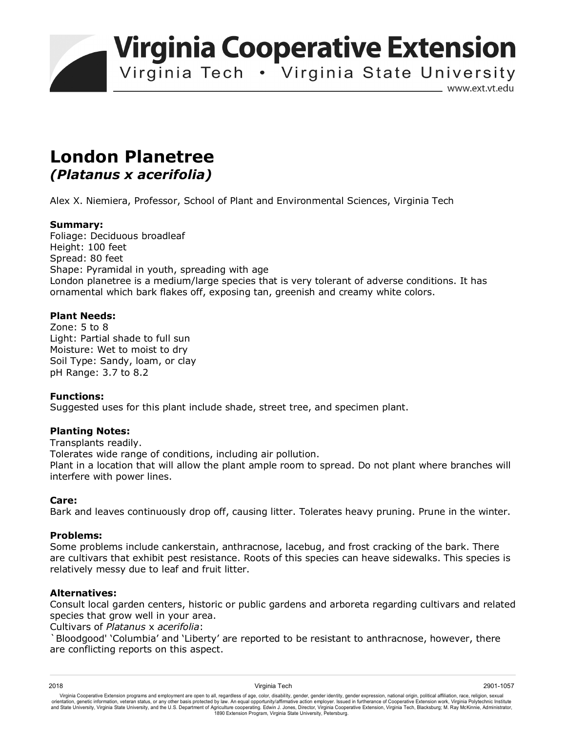**Virginia Cooperative Extension** 

Virginia Tech . Virginia State University

www.ext.vt.edu

# **London Planetree**  *(Platanus x acerifolia)*

Alex X. Niemiera, Professor, School of Plant and Environmental Sciences, Virginia Tech

## **Summary:**

Foliage: Deciduous broadleaf Height: 100 feet Spread: 80 feet Shape: Pyramidal in youth, spreading with age London planetree is a medium/large species that is very tolerant of adverse conditions. It has ornamental which bark flakes off, exposing tan, greenish and creamy white colors.

## **Plant Needs:**

Zone: 5 to 8 Light: Partial shade to full sun Moisture: Wet to moist to dry Soil Type: Sandy, loam, or clay pH Range: 3.7 to 8.2

## **Functions:**

Suggested uses for this plant include shade, street tree, and specimen plant.

## **Planting Notes:**

Transplants readily. Tolerates wide range of conditions, including air pollution. Plant in a location that will allow the plant ample room to spread. Do not plant where branches will interfere with power lines.

## **Care:**

Bark and leaves continuously drop off, causing litter. Tolerates heavy pruning. Prune in the winter.

## **Problems:**

Some problems include cankerstain, anthracnose, lacebug, and frost cracking of the bark. There are cultivars that exhibit pest resistance. Roots of this species can heave sidewalks. This species is relatively messy due to leaf and fruit litter.

## **Alternatives:**

Consult local garden centers, historic or public gardens and arboreta regarding cultivars and related species that grow well in your area.

Cultivars of *Platanus* x *acerifolia*:

`Bloodgood' 'Columbia' and 'Liberty' are reported to be resistant to anthracnose, however, there are conflicting reports on this aspect.